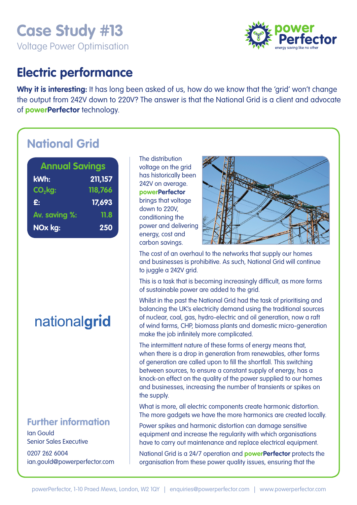# **Case Study #13**  Voltage Power Optimisation



### **Electric performance**

Why it is interesting: It has long been asked of us, how do we know that the 'grid' won't change the output from 242V down to 220V? The answer is that the National Grid is a client and advocate of **powerPerfector** technology.

# **National Grid**

| <b>Annual Savings</b> |          |
|-----------------------|----------|
| kWh:                  | 211, 157 |
| CO <sub>2</sub> kg:   | 118,766  |
| £:                    | 17,693   |
| Av. saving %:         | 11.8     |
| NOx kg:               | 250      |

nationalgrid

### **Further information**

Ian Gould Senior Sales Executive

0207 262 6004 ian.gould@powerperfector.com The distribution voltage on the grid has historically been 242V on average. **powerPerfector** brings that voltage down to 220V, conditioning the power and delivering energy, cost and carbon savings.



The cost of an overhaul to the networks that supply our homes and businesses is prohibitive. As such, National Grid will continue to juggle a 242V grid.

This is a task that is becoming increasingly difficult, as more forms of sustainable power are added to the grid.

Whilst in the past the National Grid had the task of prioritising and balancing the UK's electricity demand using the traditional sources of nuclear, coal, gas, hydro-electric and oil generation, now a raft of wind farms, CHP, biomass plants and domestic micro-generation make the job infinitely more complicated.

The intermittent nature of these forms of energy means that, when there is a drop in generation from renewables, other forms of generation are called upon to fill the shortfall. This switching between sources, to ensure a constant supply of energy, has a knock-on effect on the quality of the power supplied to our homes and businesses, increasing the number of transients or spikes on the supply.

What is more, all electric components create harmonic distortion. The more gadgets we have the more harmonics are created locally.

Power spikes and harmonic distortion can damage sensitive equipment and increase the regularity with which organisations have to carry out maintenance and replace electrical equipment.

National Grid is a 24/7 operation and **powerPerfector** protects the organisation from these power quality issues, ensuring that the